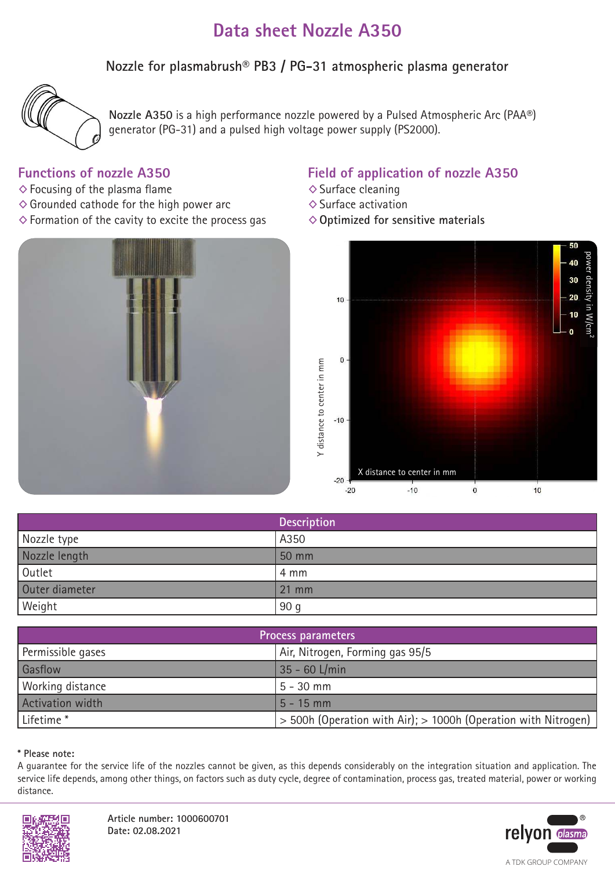# **Data sheet Nozzle A350**

**Nozzle for plasmabrush® PB3 / PG-31 atmospheric plasma generator**



**Nozzle A350** is a high performance nozzle powered by a Pulsed Atmospheric Arc (PAA®) generator (PG-31) and a pulsed high voltage power supply (PS2000).

### **Functions of nozzle A350**

- $\diamond$  Focusing of the plasma flame
- $\diamond$  Grounded cathode for the high power arc
- $\diamond$  Formation of the cavity to excite the process gas



### **Field of application of nozzle A350**

- ◊Surface cleaning
- ◊Surface activation
- ◊**Optimized for sensitive materials**



|                | <b>Description</b> |
|----------------|--------------------|
| Nozzle type    | A350               |
| Nozzle length  | 50 mm              |
| Outlet         | 4 mm               |
| Outer diameter | $21 \, \text{mm}$  |
| Weight         | 90 <sub>g</sub>    |

| Process parameters    |                                                                    |
|-----------------------|--------------------------------------------------------------------|
| Permissible gases     | Air, Nitrogen, Forming gas 95/5                                    |
| Gasflow               | 35 - 60 L/min                                                      |
| Working distance      | $5 - 30$ mm                                                        |
| Activation width      | $5 - 15$ mm                                                        |
| Lifetime <sup>*</sup> | $>$ 500h (Operation with Air); $>$ 1000h (Operation with Nitrogen) |

#### **\* Please note:**

A guarantee for the service life of the nozzles cannot be given, as this depends considerably on the integration situation and application. The service life depends, among other things, on factors such as duty cycle, degree of contamination, process gas, treated material, power or working distance.